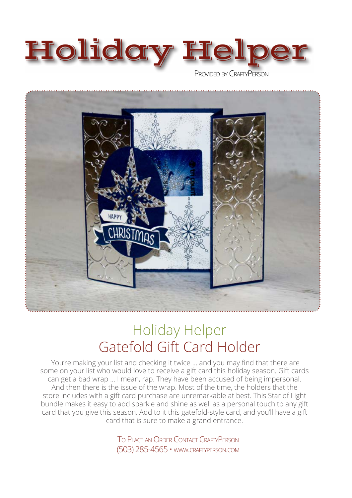



# Holiday Helper Gatefold Gift Card Holder

 You're making your list and checking it twice ... and you may find that there are some on your list who would love to receive a gift card this holiday season. Gift cards can get a bad wrap ... I mean, rap. They have been accused of being impersonal. And then there is the issue of the wrap. Most of the time, the holders that the store includes with a gift card purchase are unremarkable at best. This Star of Light bundle makes it easy to add sparkle and shine as well as a personal touch to any gift card that you give this season. Add to it this gatefold-style card, and you'll have a gift card that is sure to make a grand entrance.

> To Place an Order Contact CraftyPerson (503) 285-4565 • www.craftyperson.com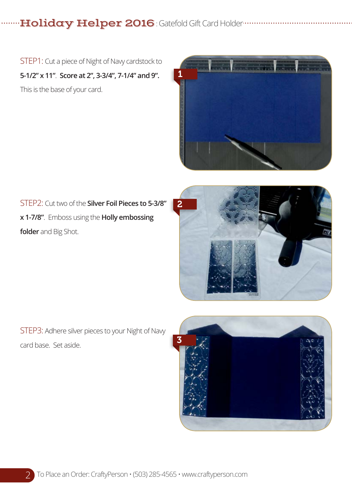**Holiday Helper 2016**: Gatefold Gift Card Holder www.www.ww

STEP1: Cut a piece of Night of Navy cardstock to **5-1/2" x 11"**. **Score at 2", 3-3/4", 7-1/4" and 9".** This is the base of your card.



STEP2: Cut two of the **Silver Foil Pieces to 5-3/8" x 1-7/8"**. Emboss using the **Holly embossing folder** and Big Shot.



STEP3: Adhere silver pieces to your Night of Navy card base. Set aside.

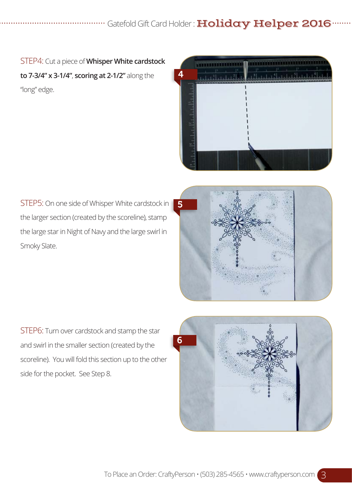## "Gatefold Gift Card Holder : Holiday Helper 2016

STEP4: Cut a piece of **Whisper White cardstock to 7-3/4" x 3-1/4"**, **scoring at 2-1/2"** along the "long" edge.



STEP5: On one side of Whisper White cardstock in the larger section (created by the scoreline), stamp the large star in Night of Navy and the large swirl in Smoky Slate.



STEP6: Turn over cardstock and stamp the star and swirl in the smaller section (created by the scoreline). You will fold this section up to the other side for the pocket. See Step 8.

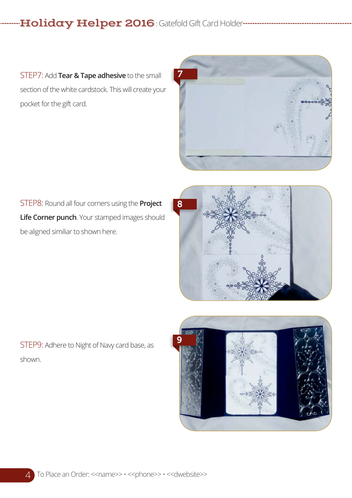-Holiday Helper 2016 : Gatefold Gift Card Holder--------------------------------

STEP7: Add **Tear & Tape adhesive** to the small section of the white cardstock. This will create your pocket for the gift card.



STEP8: Round all four corners using the **Project Life Corner punch**. Your stamped images should be aligned similiar to shown here.



STEP9: Adhere to Night of Navy card base, as shown.

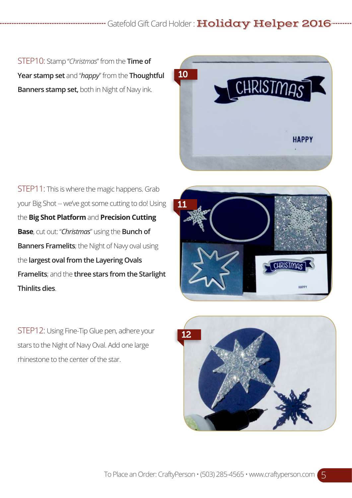## Gatefold Gift Card Holder: **Holiday Helper 2016**

STEP10: Stamp "*Christmas*" from the **Time of Year stamp set** and "*happy*" from the **Thoughtful Banners stamp set,** both in Night of Navy ink.



STEP11: This is where the magic happens. Grab your Big Shot -- we've got some cutting to do! Using the **Big Shot Platform** and **Precision Cutting Base**, cut out: "*Christmas*" using the **Bunch of Banners Framelits**; the Night of Navy oval using the **largest oval from the Layering Ovals Framelits**; and the **three stars from the Starlight Thinlits dies**.

11 CHRISTMAS **HARD** 

STEP12: Using Fine-Tip Glue pen, adhere your stars to the Night of Navy Oval. Add one large rhinestone to the center of the star.

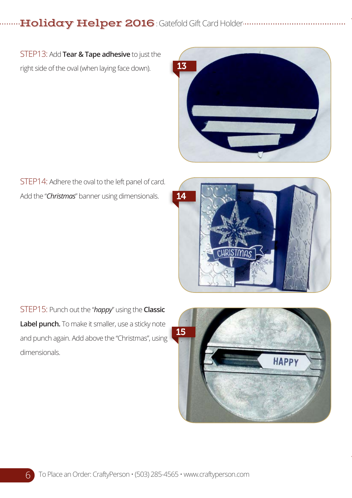. Holiday Helper 2016 : Gatefold Gift Card Holder...............................

STEP13: Add **Tear & Tape adhesive** to just the right side of the oval (when laying face down).



STEP14: Adhere the oval to the left panel of card. Add the "*Christmas*" banner using dimensionals.



STEP15: Punch out the "*happy*" using the **Classic Label punch.** To make it smaller, use a sticky note and punch again. Add above the "Christmas", using dimensionals.

6